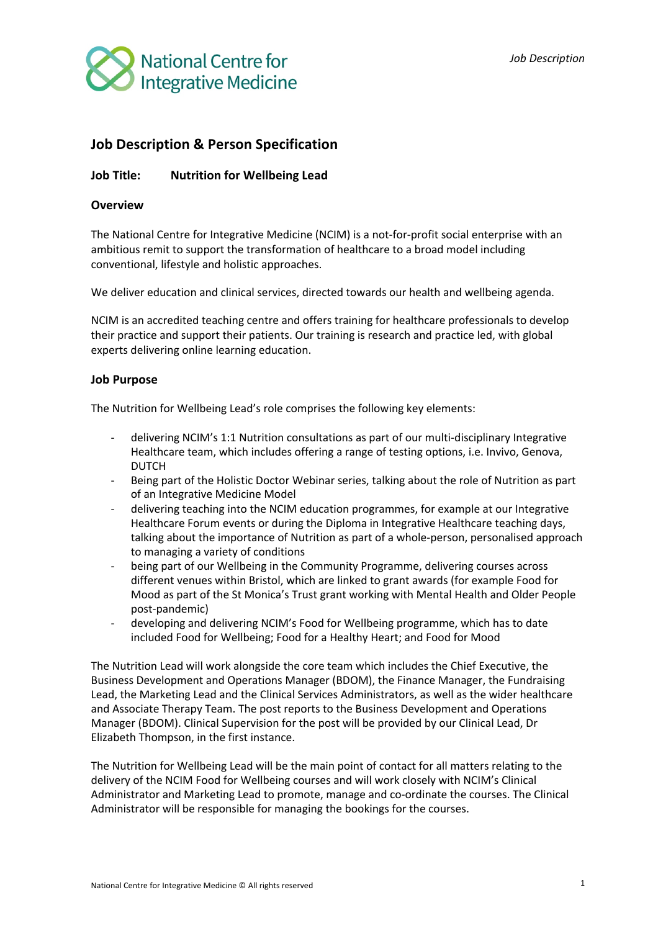

# **Job Description & Person Specification**

# **Job Title: Nutrition for Wellbeing Lead**

# **Overview**

The National Centre for Integrative Medicine (NCIM) is a not-for-profit social enterprise with an ambitious remit to support the transformation of healthcare to a broad model including conventional, lifestyle and holistic approaches. 

We deliver education and clinical services, directed towards our health and wellbeing agenda.

NCIM is an accredited teaching centre and offers training for healthcare professionals to develop their practice and support their patients. Our training is research and practice led, with global experts delivering online learning education.

### **Job Purpose**

The Nutrition for Wellbeing Lead's role comprises the following key elements:

- delivering NCIM's 1:1 Nutrition consultations as part of our multi-disciplinary Integrative Healthcare team, which includes offering a range of testing options, i.e. Invivo, Genova, DUTCH
- Being part of the Holistic Doctor Webinar series, talking about the role of Nutrition as part of an Integrative Medicine Model
- delivering teaching into the NCIM education programmes, for example at our Integrative Healthcare Forum events or during the Diploma in Integrative Healthcare teaching days, talking about the importance of Nutrition as part of a whole-person, personalised approach to managing a variety of conditions
- being part of our Wellbeing in the Community Programme, delivering courses across different venues within Bristol, which are linked to grant awards (for example Food for Mood as part of the St Monica's Trust grant working with Mental Health and Older People post-pandemic)
- developing and delivering NCIM's Food for Wellbeing programme, which has to date included Food for Wellbeing; Food for a Healthy Heart; and Food for Mood

The Nutrition Lead will work alongside the core team which includes the Chief Executive, the Business Development and Operations Manager (BDOM), the Finance Manager, the Fundraising Lead, the Marketing Lead and the Clinical Services Administrators, as well as the wider healthcare and Associate Therapy Team. The post reports to the Business Development and Operations Manager (BDOM). Clinical Supervision for the post will be provided by our Clinical Lead, Dr Elizabeth Thompson, in the first instance.

The Nutrition for Wellbeing Lead will be the main point of contact for all matters relating to the delivery of the NCIM Food for Wellbeing courses and will work closely with NCIM's Clinical Administrator and Marketing Lead to promote, manage and co-ordinate the courses. The Clinical Administrator will be responsible for managing the bookings for the courses.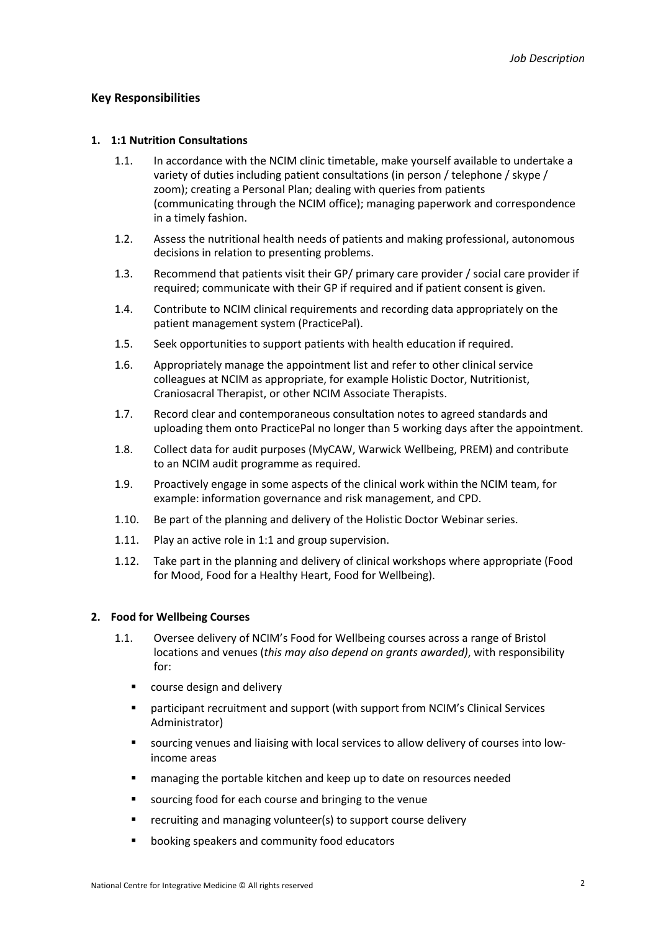# **Key Responsibilities**

#### **1. 1:1 Nutrition Consultations**

- 1.1. In accordance with the NCIM clinic timetable, make yourself available to undertake a variety of duties including patient consultations (in person / telephone / skype / zoom); creating a Personal Plan; dealing with queries from patients (communicating through the NCIM office); managing paperwork and correspondence in a timely fashion.
- 1.2. Assess the nutritional health needs of patients and making professional, autonomous decisions in relation to presenting problems.
- 1.3. Recommend that patients visit their GP/ primary care provider / social care provider if required; communicate with their GP if required and if patient consent is given.
- 1.4. Contribute to NCIM clinical requirements and recording data appropriately on the patient management system (PracticePal).
- 1.5. Seek opportunities to support patients with health education if required.
- 1.6. Appropriately manage the appointment list and refer to other clinical service colleagues at NCIM as appropriate, for example Holistic Doctor, Nutritionist, Craniosacral Therapist, or other NCIM Associate Therapists.
- 1.7. Record clear and contemporaneous consultation notes to agreed standards and uploading them onto PracticePal no longer than 5 working days after the appointment.
- 1.8. Collect data for audit purposes (MyCAW, Warwick Wellbeing, PREM) and contribute to an NCIM audit programme as required.
- 1.9. Proactively engage in some aspects of the clinical work within the NCIM team, for example: information governance and risk management, and CPD.
- 1.10. Be part of the planning and delivery of the Holistic Doctor Webinar series.
- 1.11. Play an active role in 1:1 and group supervision.
- 1.12. Take part in the planning and delivery of clinical workshops where appropriate (Food for Mood, Food for a Healthy Heart, Food for Wellbeing).

#### **2. Food for Wellbeing Courses**

- 1.1. Oversee delivery of NCIM's Food for Wellbeing courses across a range of Bristol locations and venues (*this may also depend on grants awarded)*, with responsibility for:
	- course design and delivery
	- § participant recruitment and support (with support from NCIM's Clinical Services Administrator)
	- sourcing venues and liaising with local services to allow delivery of courses into lowincome areas
	- managing the portable kitchen and keep up to date on resources needed
	- sourcing food for each course and bringing to the venue
	- recruiting and managing volunteer(s) to support course delivery
	- booking speakers and community food educators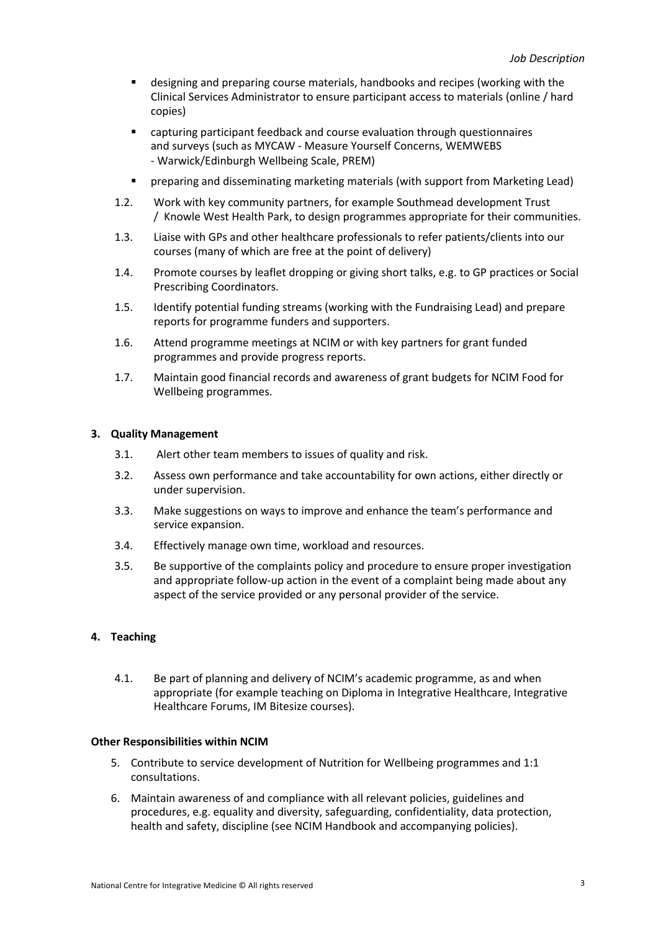- designing and preparing course materials, handbooks and recipes (working with the Clinical Services Administrator to ensure participant access to materials (online / hard copies)
- capturing participant feedback and course evaluation through questionnaires and surveys (such as MYCAW - Measure Yourself Concerns, WEMWEBS - Warwick/Edinburgh Wellbeing Scale, PREM)
- § preparing and disseminating marketing materials (with support from Marketing Lead)
- 1.2. Work with key community partners, for example Southmead development Trust / Knowle West Health Park, to design programmes appropriate for their communities.
- 1.3. Liaise with GPs and other healthcare professionals to refer patients/clients into our courses (many of which are free at the point of delivery)
- 1.4. Promote courses by leaflet dropping or giving short talks, e.g. to GP practices or Social Prescribing Coordinators.
- 1.5. Identify potential funding streams (working with the Fundraising Lead) and prepare reports for programme funders and supporters.
- 1.6. Attend programme meetings at NCIM or with key partners for grant funded programmes and provide progress reports.
- 1.7. Maintain good financial records and awareness of grant budgets for NCIM Food for Wellbeing programmes.

#### **3. Quality Management**

- 3.1.  Alert other team members to issues of quality and risk.
- 3.2. Assess own performance and take accountability for own actions, either directly or under supervision.
- 3.3. Make suggestions on ways to improve and enhance the team's performance and service expansion.
- 3.4. Effectively manage own time, workload and resources.
- 3.5. Be supportive of the complaints policy and procedure to ensure proper investigation and appropriate follow-up action in the event of a complaint being made about any aspect of the service provided or any personal provider of the service.

# **4. Teaching**

4.1. Be part of planning and delivery of NCIM's academic programme, as and when appropriate (for example teaching on Diploma in Integrative Healthcare, Integrative Healthcare Forums, IM Bitesize courses).

#### **Other Responsibilities within NCIM**

- 5. Contribute to service development of Nutrition for Wellbeing programmes and 1:1 consultations.
- 6. Maintain awareness of and compliance with all relevant policies, guidelines and procedures, e.g. equality and diversity, safeguarding, confidentiality, data protection, health and safety, discipline (see NCIM Handbook and accompanying policies).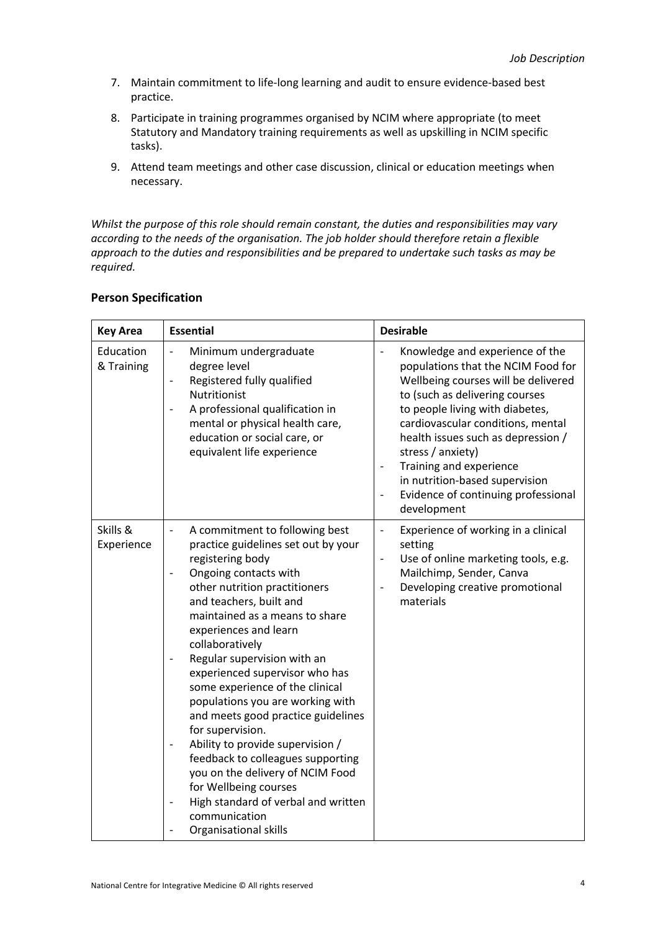- 7. Maintain commitment to life-long learning and audit to ensure evidence-based best practice.
- 8. Participate in training programmes organised by NCIM where appropriate (to meet Statutory and Mandatory training requirements as well as upskilling in NCIM specific tasks).
- 9. Attend team meetings and other case discussion, clinical or education meetings when necessary.

*Whilst the purpose of this role should remain constant, the duties and responsibilities may vary according to the needs of the organisation. The job holder should therefore retain a flexible approach to the duties and responsibilities and be prepared to undertake such tasks as may be required.*

| <b>Key Area</b>         | <b>Essential</b>                                                                                                                                                                                                                                                                                                                                                                                                                                                                                                                                                                                                                                                                                                                                                             | <b>Desirable</b>                                                                                                                                                                                                                                                                                                                                                                                     |
|-------------------------|------------------------------------------------------------------------------------------------------------------------------------------------------------------------------------------------------------------------------------------------------------------------------------------------------------------------------------------------------------------------------------------------------------------------------------------------------------------------------------------------------------------------------------------------------------------------------------------------------------------------------------------------------------------------------------------------------------------------------------------------------------------------------|------------------------------------------------------------------------------------------------------------------------------------------------------------------------------------------------------------------------------------------------------------------------------------------------------------------------------------------------------------------------------------------------------|
| Education<br>& Training | Minimum undergraduate<br>$\qquad \qquad -$<br>degree level<br>Registered fully qualified<br>$\overline{\phantom{0}}$<br>Nutritionist<br>A professional qualification in<br>$\qquad \qquad -$<br>mental or physical health care,<br>education or social care, or<br>equivalent life experience                                                                                                                                                                                                                                                                                                                                                                                                                                                                                | Knowledge and experience of the<br>populations that the NCIM Food for<br>Wellbeing courses will be delivered<br>to (such as delivering courses<br>to people living with diabetes,<br>cardiovascular conditions, mental<br>health issues such as depression /<br>stress / anxiety)<br>Training and experience<br>in nutrition-based supervision<br>Evidence of continuing professional<br>development |
| Skills &<br>Experience  | A commitment to following best<br>$\frac{1}{2}$<br>practice guidelines set out by your<br>registering body<br>Ongoing contacts with<br>other nutrition practitioners<br>and teachers, built and<br>maintained as a means to share<br>experiences and learn<br>collaboratively<br>Regular supervision with an<br>experienced supervisor who has<br>some experience of the clinical<br>populations you are working with<br>and meets good practice guidelines<br>for supervision.<br>Ability to provide supervision /<br>$\qquad \qquad -$<br>feedback to colleagues supporting<br>you on the delivery of NCIM Food<br>for Wellbeing courses<br>High standard of verbal and written<br>$\qquad \qquad -$<br>communication<br>Organisational skills<br>$\overline{\phantom{0}}$ | Experience of working in a clinical<br>$\overline{\phantom{a}}$<br>setting<br>Use of online marketing tools, e.g.<br>Mailchimp, Sender, Canva<br>Developing creative promotional<br>materials                                                                                                                                                                                                        |